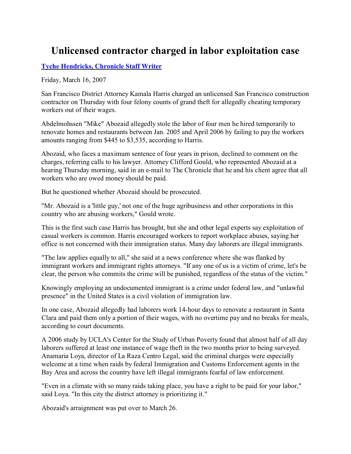## **Unlicensed contractor charged in labor exploitation case**

**Tyche Hendricks, Chronicle Staff Writer**

Friday, March 16, 2007

San Francisco District Attorney Kamala Harris charged an unlicensed San Francisco construction contractor on Thursday with four felony counts of grand theft for allegedly cheating temporary workers out of their wages.

Abdelmohssen "Mike" Abozaid allegedly stole the labor of four men he hired temporarily to renovate homes and restaurants between Jan. 2005 and April 2006 by failing to pay the workers amounts ranging from \$445 to \$3,535, according to Harris.

Abozaid, who faces a maximum sentence of four years in prison, declined to comment on the charges, referring calls to his lawyer. Attorney Clifford Gould, who represented Abozaid at a hearing Thursday morning, said in an e-mail to The Chronicle that he and his client agree that all workers who are owed money should be paid.

But he questioned whether Abozaid should be prosecuted.

"Mr. Abozaid is a 'little guy,' not one of the huge agribusiness and other corporations in this country who are abusing workers," Gould wrote.

This is the first such case Harris has brought, but she and other legal experts say exploitation of casual workers is common. Harris encouraged workers to report workplace abuses, saying her office is not concerned with their immigration status. Many day laborers are illegal immigrants.

"The law applies equally to all," she said at a news conference where she was flanked by immigrant workers and immigrant rights attorneys. "If any one of us is a victim of crime, let's be clear, the person who commits the crime will be punished, regardless of the status of the victim."

Knowingly employing an undocumented immigrant is a crime under federal law, and "unlawful presence" in the United States is a civil violation of immigration law.

In one case, Abozaid allegedly had laborers work 14-hour days to renovate a restaurant in Santa Clara and paid them only a portion of their wages, with no overtime pay and no breaks for meals, according to court documents.

A 2006 study by UCLA's Center for the Study of Urban Poverty found that almost half of all day laborers suffered at least one instance of wage theft in the two months prior to being surveyed. Anamaria Loya, director of La Raza Centro Legal, said the criminal charges were especially welcome at a time when raids by federal Immigration and Customs Enforcement agents in the Bay Area and across the country have left illegal immigrants fearful of law enforcement.

"Even in a climate with so many raids taking place, you have a right to be paid for your labor," said Loya. "In this city the district attorney is prioritizing it."

Abozaid's arraignment was put over to March 26.